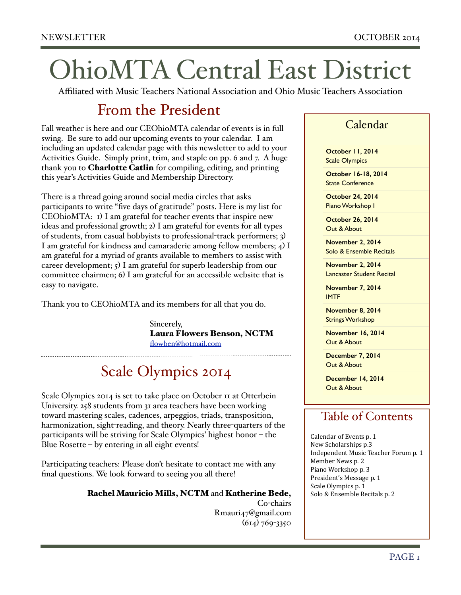# OhioMTA Central East District

Affiliated with Music Teachers National Association and Ohio Music Teachers Association

# From the President

Fall weather is here and our CEOhioMTA calendar of events is in full swing. Be sure to add our upcoming events to your calendar. I am including an updated calendar page with this newsletter to add to your Activities Guide. Simply print, trim, and staple on pp. 6 and 7. A huge thank you to **Charlotte Catlin** for compiling, editing, and printing this year's Activities Guide and Membership Directory.

There is a thread going around social media circles that asks participants to write "five days of gratitude" posts. Here is my list for CEOhioMTA: 1) I am grateful for teacher events that inspire new ideas and professional growth; 2) I am grateful for events for all types of students, from casual hobbyists to professional-track performers; 3) I am grateful for kindness and camaraderie among fellow members; 4) I am grateful for a myriad of grants available to members to assist with career development;  $\varsigma$ ) I am grateful for superb leadership from our committee chairmen; 6) I am grateful for an accessible website that is easy to navigate.

Thank you to CEOhioMTA and its members for all that you do.

Sincerely, Laura Flowers Benson, NCTM [flowben@hotmail.com](mailto:flowben@hotmail.com)

# Scale Olympics 2014

Scale Olympics 2014 is set to take place on October 11 at Otterbein University. 258 students from 31 area teachers have been working toward mastering scales, cadences, arpeggios, triads, transposition, harmonization, sight-reading, and theory. Nearly three-quarters of the participants will be striving for Scale Olympics' highest honor – the Blue Rosette – by entering in all eight events!

Participating teachers: Please don't hesitate to contact me with any final questions. We look forward to seeing you all there!

#### Rachel Mauricio Mills, NCTM and Katherine Bede,

 Co-chairs Rmauri47@gmail.com  $(614)$  769-3350

### Calendar

**October 11, 2014** Scale Olympics

**October 16-18, 2014** State Conference

**October 24, 2014** Piano Workshop I

**October 26, 2014** Out & About

**November 2, 2014** Solo & Ensemble Recitals

**November 2, 2014** Lancaster Student Recital

**November 7, 2014**  IMTF

**November 8, 2014**  Strings Workshop

**November 16, 2014**  Out & About

**December 7, 2014**  Out & About

**December 14, 2014**  Out & About

### Table of Contents

Calendar of Events p. 1 New Scholarships p.3 Independent Music Teacher Forum p. 1 Member News p. 2 Piano Workshop p. 3 President's Message p. 1 Scale Olympics p. 1 Solo & Ensemble Recitals p. 2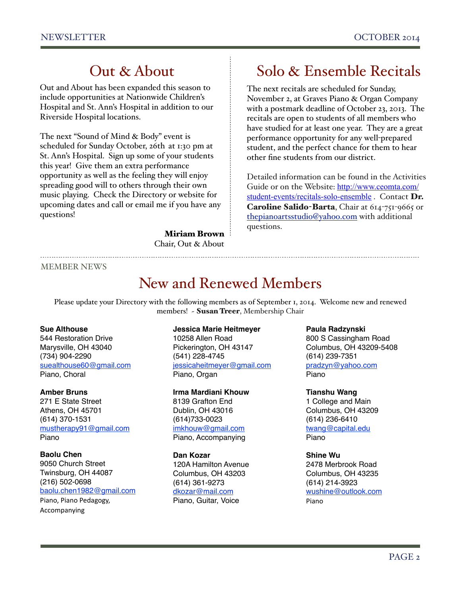## Out & About

Out and About has been expanded this season to include opportunities at Nationwide Children's Hospital and St. Ann's Hospital in addition to our Riverside Hospital locations.

The next "Sound of Mind & Body" event is scheduled for Sunday October, 26th at 1:30 pm at St. Ann's Hospital. Sign up some of your students this year! Give them an extra performance opportunity as well as the feeling they will enjoy spreading good will to others through their own music playing. Check the Directory or website for upcoming dates and call or email me if you have any questions!

> Miriam Brown Chair, Out & About

# Solo & Ensemble Recitals

The next recitals are scheduled for Sunday, November 2, at Graves Piano & Organ Company with a postmark deadline of October 23, 2013. The recitals are open to students of all members who have studied for at least one year. They are a great performance opportunity for any well-prepared student, and the perfect chance for them to hear other fine students from our district.

Detailed information can be found in the Activities Guide or on the Website: http://www.ceomta.com/ [student-events/recitals-solo-ensemble](http://www.ceomta.com/student-events/recitals-solo-ensemble). Contact Dr. Caroline Salido-Barta, Chair at 614-751-9665 or [thepianoartsstudio@yahoo.com](mailto:thepianoartsstudio@yahoo.com) with additional questions.

MEMBER NEWS

## New and Renewed Members

Please update your Directory with the following members as of September 1, 2014. Welcome new and renewed members! ~ Susan Treer, Membership Chair

#### **Sue Althouse**

544 Restoration Drive Marysville, OH 43040 (734) 904-2290 [suealthouse60@gmail.com](mailto:suealthouse60@gmail.com) Piano, Choral

#### **Amber Bruns**

271 E State Street Athens, OH 45701 (614) 370-1531 [mustherapy91@gmail.com](mailto:mustherapy91@gmail.com) Piano

#### **Baolu Chen**

9050 Church Street Twinsburg, OH 44087 (216) 502-0698 [baolu.chen1982@gmail.com](mailto:baolu.chen1982@gmail.com) Piano, Piano Pedagogy, Accompanying 

#### **Jessica Marie Heitmeyer**

10258 Allen Road Pickerington, OH 43147 (541) 228-4745 [jessicaheitmeyer@gmail.com](mailto:jessicaheitmeyer@gmail.com) Piano, Organ

#### **Irma Mardiani Khouw**

8139 Grafton End Dublin, OH 43016 (614)733-0023 [imkhouw@gmail.com](mailto:imkhouw@gmail.com) Piano, Accompanying

#### **Dan Kozar**

120A Hamilton Avenue Columbus, OH 43203 (614) 361-9273 [dkozar@mail.com](mailto:dkozar@mail.com) Piano, Guitar, Voice

#### **Paula Radzynski**

800 S Cassingham Road Columbus, OH 43209-5408 (614) 239-7351 pradzyn@yahoo.com Piano

**Tianshu Wang** 1 College and Main Columbus, OH 43209 (614) 236-6410 [twang@capital.edu](mailto:twang@capital.edu) Piano

#### **Shine Wu**

2478 Merbrook Road Columbus, OH 43235 (614) 214-3923 [wushine@outlook.com](mailto:wushine@outlook.com) Piano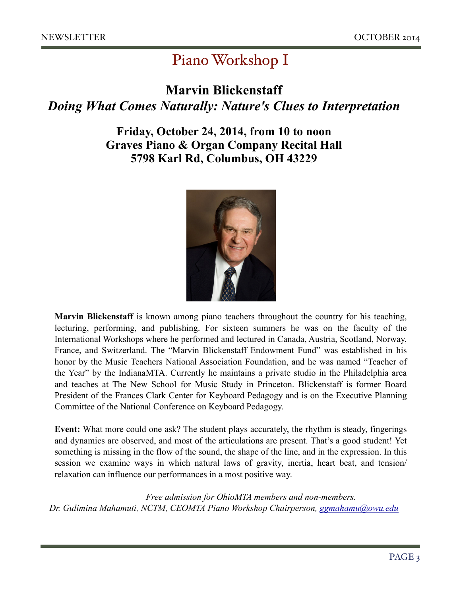# Piano Workshop I

### **Marvin Blickenstaff**

### *Doing What Comes Naturally: Nature's Clues to Interpretation*

### **Friday, October 24, 2014, from 10 to noon Graves Piano & Organ Company Recital Hall 5798 Karl Rd, Columbus, OH 43229**



**Marvin Blickenstaff** is known among piano teachers throughout the country for his teaching, lecturing, performing, and publishing. For sixteen summers he was on the faculty of the International Workshops where he performed and lectured in Canada, Austria, Scotland, Norway, France, and Switzerland. The "Marvin Blickenstaff Endowment Fund" was established in his honor by the Music Teachers National Association Foundation, and he was named "Teacher of the Year" by the IndianaMTA. Currently he maintains a private studio in the Philadelphia area and teaches at The New School for Music Study in Princeton. Blickenstaff is former Board President of the Frances Clark Center for Keyboard Pedagogy and is on the Executive Planning Committee of the National Conference on Keyboard Pedagogy.

**Event:** What more could one ask? The student plays accurately, the rhythm is steady, fingerings and dynamics are observed, and most of the articulations are present. That's a good student! Yet something is missing in the flow of the sound, the shape of the line, and in the expression. In this session we examine ways in which natural laws of gravity, inertia, heart beat, and tension/ relaxation can influence our performances in a most positive way.

*Free admission for OhioMTA members and non-members. Dr. Gulimina Mahamuti, NCTM, CEOMTA Piano Workshop Chairperson, [ggmahamu@owu.edu](mailto:ggmahamu@owu.edu)*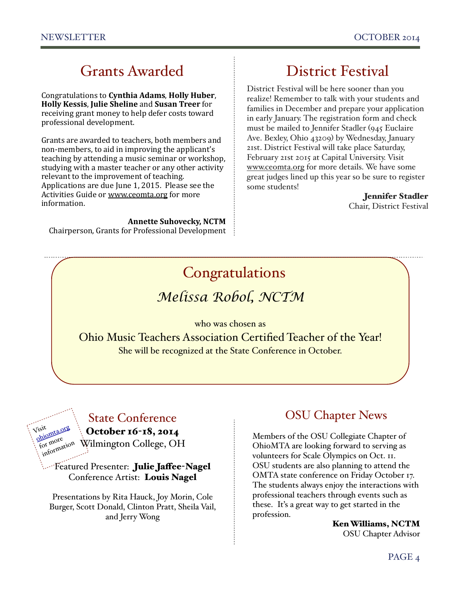# Grants Awarded

Congratulations to **Cynthia Adams**, **Holly Huber**, **Holly Kessis, Julie Sheline and Susan Treer** for receiving grant money to help defer costs toward professional development.

Grants are awarded to teachers, both members and non-members, to aid in improving the applicant's teaching by attending a music seminar or workshop, studying with a master teacher or any other activity relevant to the improvement of teaching. Applications are due June 1, 2015. Please see the Activities Guide or www.ceomta.org for more information. 

**Annette Suhovecky, NCTM** Chairperson, Grants for Professional Development

# District Festival

District Festival will be here sooner than you realize! Remember to talk with your students and families in December and prepare your application in early January. The registration form and check must be mailed to Jennifer Stadler (945 Euclaire Ave. Bexley, Ohio 43209) by Wednesday, January 21st. District Festival will take place Saturday, February 21st 2015 at Capital University. Visit www[.ceomta.org](http://ceomta.org/) for more details. We have some great judges lined up this year so be sure to register some students!

Jennifer Stadler

Chair, District Festival

# *Melissa Robol, NCTM* Congratulations

who was chosen as Ohio Music Teachers Association Certified Teacher of the Year! She will be recognized at the State Conference in October.

### State Conference

October 16-18, 2014

Visit [ohiomta.org](http://ohiomta.org) for more information

Wilmington College, OH

Featured Presenter: Julie Jaffee-Nagel Conference Artist: Louis Nagel

Presentations by Rita Hauck, Joy Morin, Cole Burger, Scott Donald, Clinton Pratt, Sheila Vail, and Jerry Wong

### OSU Chapter News

Members of the OSU Collegiate Chapter of OhioMTA are looking forward to serving as volunteers for Scale Olympics on Oct. 11. OSU students are also planning to attend the OMTA state conference on Friday October 17. The students always enjoy the interactions with professional teachers through events such as these. It's a great way to get started in the profession.

> Ken Williams, NCTM OSU Chapter Advisor